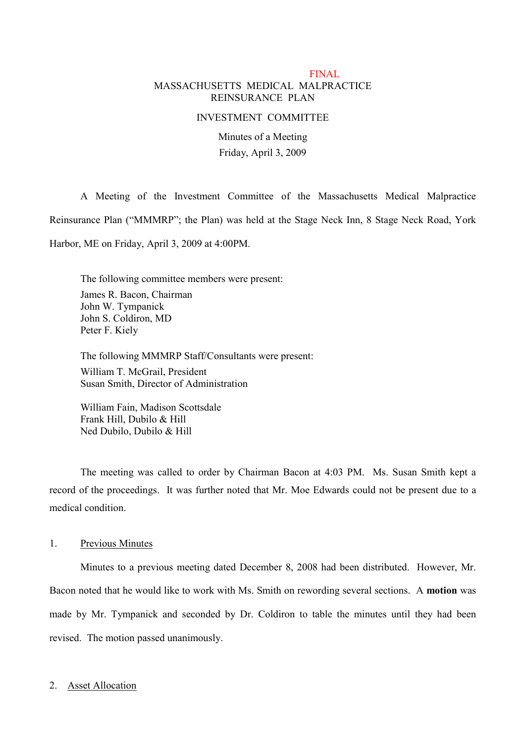# FINAL MASSACHUSETTS MEDICAL MALPRACTICE REINSURANCE PLAN

#### INVESTMENT COMMITTEE

Minutes of a Meeting Friday, April 3, 2009

A Meeting of the Investment Committee of the Massachusetts Medical Malpractice Reinsurance Plan ("MMMRP"; the Plan) was held at the Stage Neck Inn, 8 Stage Neck Road, York Harbor, ME on Friday, April 3, 2009 at 4:00PM.

The following committee members were present: James R. Bacon, Chairman John W. Tympanick John S. Coldiron, MD Peter F. Kiely

The following MMMRP Staff/Consultants were present: William T. McGrail, President Susan Smith, Director of Administration

William Fain, Madison Scottsdale Frank Hill, Dubilo & Hill Ned Dubilo, Dubilo & Hill

The meeting was called to order by Chairman Bacon at 4:03 PM. Ms. Susan Smith kept a record of the proceedings. It was further noted that Mr. Moe Edwards could not be present due to a medical condition.

# 1. Previous Minutes

Minutes to a previous meeting dated December 8, 2008 had been distributed. However, Mr. Bacon noted that he would like to work with Ms. Smith on rewording several sections. A **motion** was made by Mr. Tympanick and seconded by Dr. Coldiron to table the minutes until they had been revised. The motion passed unanimously.

### 2. Asset Allocation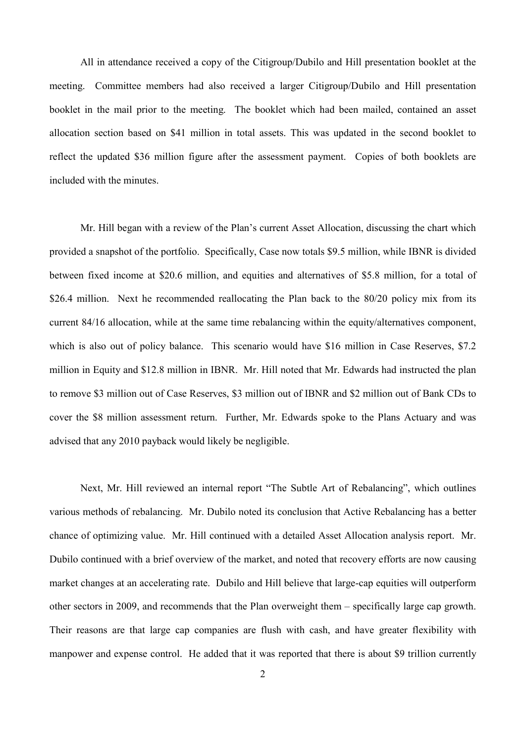All in attendance received a copy of the Citigroup/Dubilo and Hill presentation booklet at the meeting. Committee members had also received a larger Citigroup/Dubilo and Hill presentation booklet in the mail prior to the meeting. The booklet which had been mailed, contained an asset allocation section based on \$41 million in total assets. This was updated in the second booklet to reflect the updated \$36 million figure after the assessment payment. Copies of both booklets are included with the minutes.

Mr. Hill began with a review of the Plan's current Asset Allocation, discussing the chart which provided a snapshot of the portfolio. Specifically, Case now totals \$9.5 million, while IBNR is divided between fixed income at \$20.6 million, and equities and alternatives of \$5.8 million, for a total of \$26.4 million. Next he recommended reallocating the Plan back to the 80/20 policy mix from its current 84/16 allocation, while at the same time rebalancing within the equity/alternatives component, which is also out of policy balance. This scenario would have \$16 million in Case Reserves, \$7.2 million in Equity and \$12.8 million in IBNR. Mr. Hill noted that Mr. Edwards had instructed the plan to remove \$3 million out of Case Reserves, \$3 million out of IBNR and \$2 million out of Bank CDs to cover the \$8 million assessment return. Further, Mr. Edwards spoke to the Plans Actuary and was advised that any 2010 payback would likely be negligible.

Next, Mr. Hill reviewed an internal report "The Subtle Art of Rebalancing", which outlines various methods of rebalancing. Mr. Dubilo noted its conclusion that Active Rebalancing has a better chance of optimizing value. Mr. Hill continued with a detailed Asset Allocation analysis report. Mr. Dubilo continued with a brief overview of the market, and noted that recovery efforts are now causing market changes at an accelerating rate. Dubilo and Hill believe that large-cap equities will outperform other sectors in 2009, and recommends that the Plan overweight them – specifically large cap growth. Their reasons are that large cap companies are flush with cash, and have greater flexibility with manpower and expense control. He added that it was reported that there is about \$9 trillion currently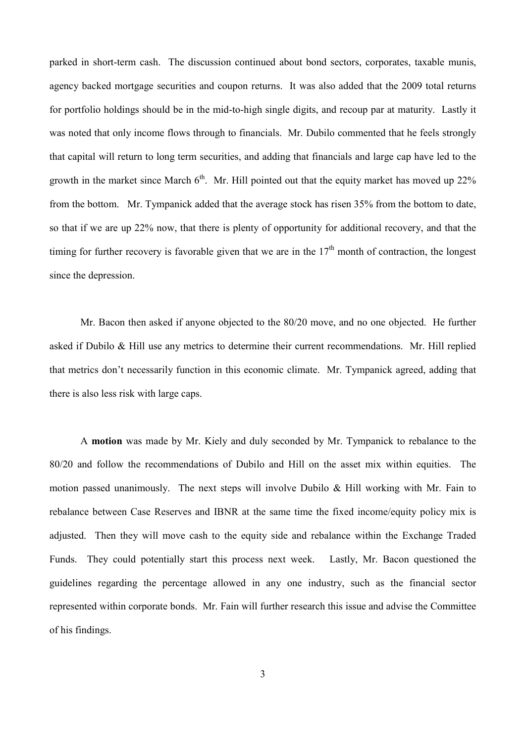parked in short-term cash. The discussion continued about bond sectors, corporates, taxable munis, agency backed mortgage securities and coupon returns. It was also added that the 2009 total returns for portfolio holdings should be in the mid-to-high single digits, and recoup par at maturity. Lastly it was noted that only income flows through to financials. Mr. Dubilo commented that he feels strongly that capital will return to long term securities, and adding that financials and large cap have led to the growth in the market since March  $6<sup>th</sup>$ . Mr. Hill pointed out that the equity market has moved up 22% from the bottom. Mr. Tympanick added that the average stock has risen 35% from the bottom to date, so that if we are up 22% now, that there is plenty of opportunity for additional recovery, and that the timing for further recovery is favorable given that we are in the  $17<sup>th</sup>$  month of contraction, the longest since the depression.

Mr. Bacon then asked if anyone objected to the 80/20 move, and no one objected. He further asked if Dubilo & Hill use any metrics to determine their current recommendations. Mr. Hill replied that metrics don't necessarily function in this economic climate. Mr. Tympanick agreed, adding that there is also less risk with large caps.

A **motion** was made by Mr. Kiely and duly seconded by Mr. Tympanick to rebalance to the 80/20 and follow the recommendations of Dubilo and Hill on the asset mix within equities. The motion passed unanimously. The next steps will involve Dubilo & Hill working with Mr. Fain to rebalance between Case Reserves and IBNR at the same time the fixed income/equity policy mix is adjusted. Then they will move cash to the equity side and rebalance within the Exchange Traded Funds. They could potentially start this process next week. Lastly, Mr. Bacon questioned the guidelines regarding the percentage allowed in any one industry, such as the financial sector represented within corporate bonds. Mr. Fain will further research this issue and advise the Committee of his findings.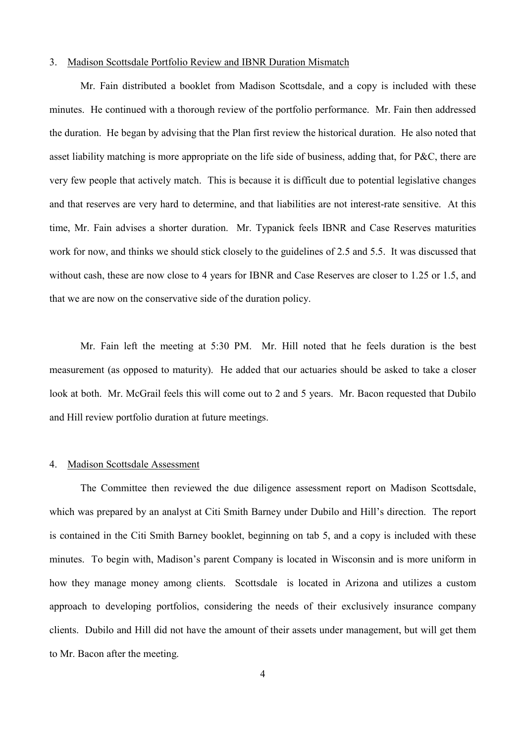## 3. Madison Scottsdale Portfolio Review and IBNR Duration Mismatch

Mr. Fain distributed a booklet from Madison Scottsdale, and a copy is included with these minutes. He continued with a thorough review of the portfolio performance. Mr. Fain then addressed the duration. He began by advising that the Plan first review the historical duration. He also noted that asset liability matching is more appropriate on the life side of business, adding that, for P&C, there are very few people that actively match. This is because it is difficult due to potential legislative changes and that reserves are very hard to determine, and that liabilities are not interest-rate sensitive. At this time, Mr. Fain advises a shorter duration. Mr. Typanick feels IBNR and Case Reserves maturities work for now, and thinks we should stick closely to the guidelines of 2.5 and 5.5. It was discussed that without cash, these are now close to 4 years for IBNR and Case Reserves are closer to 1.25 or 1.5, and that we are now on the conservative side of the duration policy.

Mr. Fain left the meeting at 5:30 PM. Mr. Hill noted that he feels duration is the best measurement (as opposed to maturity). He added that our actuaries should be asked to take a closer look at both. Mr. McGrail feels this will come out to 2 and 5 years. Mr. Bacon requested that Dubilo and Hill review portfolio duration at future meetings.

#### 4. Madison Scottsdale Assessment

The Committee then reviewed the due diligence assessment report on Madison Scottsdale, which was prepared by an analyst at Citi Smith Barney under Dubilo and Hill's direction. The report is contained in the Citi Smith Barney booklet, beginning on tab 5, and a copy is included with these minutes. To begin with, Madison's parent Company is located in Wisconsin and is more uniform in how they manage money among clients. Scottsdale is located in Arizona and utilizes a custom approach to developing portfolios, considering the needs of their exclusively insurance company clients. Dubilo and Hill did not have the amount of their assets under management, but will get them to Mr. Bacon after the meeting.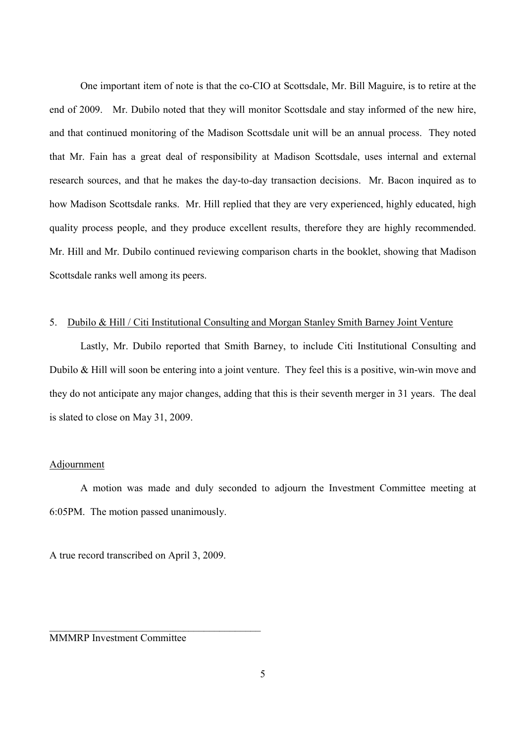One important item of note is that the co-CIO at Scottsdale, Mr. Bill Maguire, is to retire at the end of 2009. Mr. Dubilo noted that they will monitor Scottsdale and stay informed of the new hire, and that continued monitoring of the Madison Scottsdale unit will be an annual process. They noted that Mr. Fain has a great deal of responsibility at Madison Scottsdale, uses internal and external research sources, and that he makes the day-to-day transaction decisions. Mr. Bacon inquired as to how Madison Scottsdale ranks. Mr. Hill replied that they are very experienced, highly educated, high quality process people, and they produce excellent results, therefore they are highly recommended. Mr. Hill and Mr. Dubilo continued reviewing comparison charts in the booklet, showing that Madison Scottsdale ranks well among its peers.

## 5. Dubilo & Hill / Citi Institutional Consulting and Morgan Stanley Smith Barney Joint Venture

Lastly, Mr. Dubilo reported that Smith Barney, to include Citi Institutional Consulting and Dubilo & Hill will soon be entering into a joint venture. They feel this is a positive, win-win move and they do not anticipate any major changes, adding that this is their seventh merger in 31 years. The deal is slated to close on May 31, 2009.

#### Adjournment

A motion was made and duly seconded to adjourn the Investment Committee meeting at 6:05PM. The motion passed unanimously.

A true record transcribed on April 3, 2009.

 $\mathcal{L}_\text{max}$ 

MMMRP Investment Committee